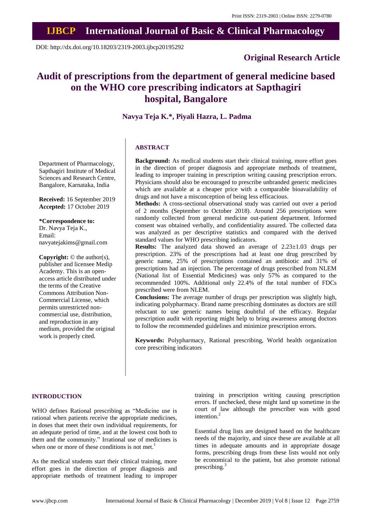# **IJBCP International Journal of Basic & Clinical Pharmacology**

DOI: http://dx.doi.org/10.18203/2319-2003.ijbcp20195292

# **Original Research Article**

# **Audit of prescriptions from the department of general medicine based on the WHO core prescribing indicators at Sapthagiri hospital, Bangalore**

# **Navya Teja K.\*, Piyali Hazra, L. Padma**

### **ABSTRACT**

Department of Pharmacology, Sapthagiri Institute of Medical Sciences and Research Centre, Bangalore, Karnataka, India

**Received:** 16 September 2019 **Accepted:** 17 October 2019

#### **\*Correspondence to:**

Dr. Navya Teja K., Email: navyatejakims@gmail.com

**Copyright:** © the author(s), publisher and licensee Medip Academy. This is an openaccess article distributed under the terms of the Creative Commons Attribution Non-Commercial License, which permits unrestricted noncommercial use, distribution, and reproduction in any medium, provided the original work is properly cited.

**Background:** As medical students start their clinical training, more effort goes in the direction of proper diagnosis and appropriate methods of treatment, leading to improper training in prescription writing causing prescription errors. Physicians should also be encouraged to prescribe unbranded generic medicines which are available at a cheaper price with a comparable bioavailability of drugs and not have a misconception of being less efficacious.

**Methods:** A cross-sectional observational study was carried out over a period of 2 months (September to October 2018). Around 256 prescriptions were randomly collected from general medicine out-patient department. Informed consent was obtained verbally, and confidentiality assured. The collected data was analyzed as per descriptive statistics and compared with the derived standard values for WHO prescribing indicators.

**Results:** The analyzed data showed an average of 2.23±1.03 drugs per prescription. 23% of the prescriptions had at least one drug prescribed by generic name, 25% of prescriptions contained an antibiotic and 31% of prescriptions had an injection. The percentage of drugs prescribed from NLEM (National list of Essential Medicines) was only 57% as compared to the recommended 100%. Additional only 22.4% of the total number of FDCs prescribed were from NLEM.

**Conclusions:** The average number of drugs per prescription was slightly high, indicating polypharmacy. Brand name prescribing dominates as doctors are still reluctant to use generic names being doubtful of the efficacy. Regular prescription audit with reporting might help to bring awareness among doctors to follow the recommended guidelines and minimize prescription errors.

**Keywords:** Polypharmacy, Rational prescribing, World health organization core prescribing indicators

#### **INTRODUCTION**

WHO defines Rational prescribing as "Medicine use is rational when patients receive the appropriate medicines, in doses that meet their own individual requirements, for an adequate period of time, and at the lowest cost both to them and the community." Irrational use of medicines is when one or more of these conditions is not met.<sup>1</sup>

As the medical students start their clinical training, more effort goes in the direction of proper diagnosis and appropriate methods of treatment leading to improper training in prescription writing causing prescription errors. If unchecked, these might land up sometime in the court of law although the prescriber was with good intention.<sup>2</sup>

Essential drug lists are designed based on the healthcare needs of the majority, and since these are available at all times in adequate amounts and in appropriate dosage forms, prescribing drugs from these lists would not only be economical to the patient, but also promote rational prescribing.<sup>3</sup>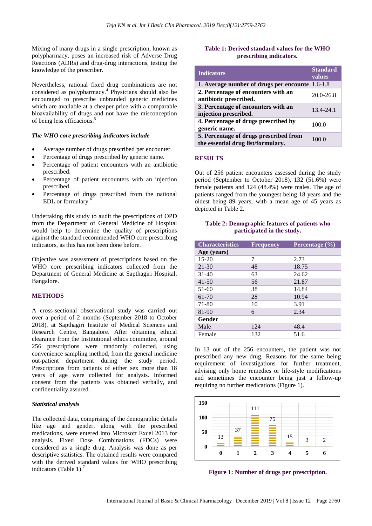Mixing of many drugs in a single prescription, known as polypharmacy, poses an increased risk of Adverse Drug Reactions (ADRs) and drug-drug interactions, testing the knowledge of the prescriber.

Nevertheless, rational fixed drug combinations are not considered as polypharmacy.<sup>4</sup> Physicians should also be encouraged to prescribe unbranded generic medicines which are available at a cheaper price with a comparable bioavailability of drugs and not have the misconception of being less efficacious.<sup>5</sup>

#### *The WHO core prescribing indicators include*

- Average number of drugs prescribed per encounter.
- Percentage of drugs prescribed by generic name.
- Percentage of patient encounters with an antibiotic prescribed.
- Percentage of patient encounters with an injection prescribed.
- Percentage of drugs prescribed from the national EDL or formulary. $6$

Undertaking this study to audit the prescriptions of OPD from the Department of General Medicine of Hospital would help to determine the quality of prescriptions against the standard recommended WHO core prescribing indicators, as this has not been done before.

Objective was assessment of prescriptions based on the WHO core prescribing indicators collected from the Department of General Medicine at Sapthagiri Hospital, Bangalore.

#### **METHODS**

A cross-sectional observational study was carried out over a period of 2 months (September 2018 to October 2018), at Sapthagiri Institute of Medical Sciences and Research Centre, Bangalore. After obtaining ethical clearance from the Institutional ethics committee, around 256 prescriptions were randomly collected, using convenience sampling method, from the general medicine out-patient department during the study period. Prescriptions from patients of either sex more than 18 years of age were collected for analysis. Informed consent from the patients was obtained verbally, and confidentiality assured.

#### *Statistical analysis*

The collected data, comprising of the demographic details like age and gender, along with the prescribed medications, were entered into Microsoft Excel 2013 for analysis. Fixed Dose Combinations (FDCs) were considered as a single drug. Analysis was done as per descriptive statistics. The obtained results were compared with the derived standard values for WHO prescribing indicators (Table 1).<sup>7</sup>

# **Table 1: Derived standard values for the WHO prescribing indicators.**

| <b>Indicators</b>                                                            | <b>Standard</b><br>values |
|------------------------------------------------------------------------------|---------------------------|
| <b>1. Average number of drugs per encounte</b> 1.6-1.8                       |                           |
| 2. Percentage of encounters with an<br>antibiotic prescribed.                | $20.0 - 26.8$             |
| 3. Percentage of encounters with an<br>injection prescribed.                 | 13.4-24.1                 |
| 4. Percentage of drugs prescribed by<br>generic name.                        | 100.0                     |
| 5. Percentage of drugs prescribed from<br>the essential drug list/formulary. | 100.0                     |

#### **RESULTS**

Out of 256 patient encounters assessed during the study period (September to October 2018), 132 (51.6%) were female patients and 124 (48.4%) were males. The age of patients ranged from the youngest being 18 years and the oldest being 89 years, with a mean age of 45 years as depicted in Table 2.

## **Table 2: Demographic features of patients who participated in the study.**

| <b>Characteristics</b> | <b>Frequency</b> | Percentage $(\%)$ |
|------------------------|------------------|-------------------|
| Age (years)            |                  |                   |
| $15 - 20$              | 7                | 2.73              |
| $21 - 30$              | 48               | 18.75             |
| $31 - 40$              | 63               | 24.62             |
| $41 - 50$              | 56               | 21.87             |
| $51-60$                | 38               | 14.84             |
| $61 - 70$              | 28               | 10.94             |
| 71-80                  | 10               | 3.91              |
| 81-90                  | 6                | 2.34              |
| Gender                 |                  |                   |
| Male                   | 124              | 48.4              |
| Female                 | 132              | 51.6              |

In 13 out of the 256 encounters, the patient was not prescribed any new drug. Reasons for the same being requirement of investigations for further treatment, advising only home remedies or life-style modifications and sometimes the encounter being just a follow-up requiring no further medications (Figure 1).



**Figure 1: Number of drugs per prescription.**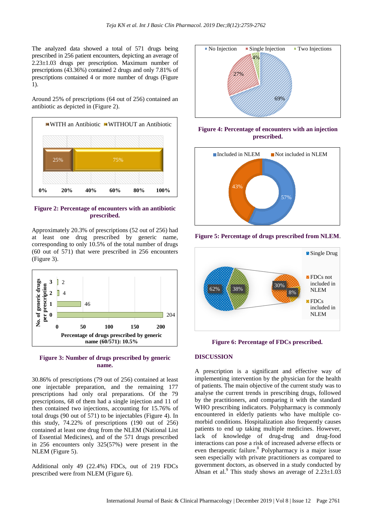The analyzed data showed a total of 571 drugs being prescribed in 256 patient encounters, depicting an average of 2.23±1.03 drugs per prescription. Maximum number of prescriptions (43.36%) contained 2 drugs and only 7.81% of prescriptions contained 4 or more number of drugs (Figure 1).

Around 25% of prescriptions (64 out of 256) contained an antibiotic as depicted in (Figure 2).



**Figure 2: Percentage of encounters with an antibiotic prescribed.**

Approximately 20.3% of prescriptions (52 out of 256) had at least one drug prescribed by generic name, corresponding to only 10.5% of the total number of drugs (60 out of 571) that were prescribed in 256 encounters (Figure 3).





30.86% of prescriptions (79 out of 256) contained at least one injectable preparation, and the remaining 177 prescriptions had only oral preparations. Of the 79 prescriptions, 68 of them had a single injection and 11 of then contained two injections, accounting for 15.76% of total drugs (90 out of 571) to be injectables (Figure 4). In this study, 74.22% of prescriptions (190 out of 256) contained at least one drug from the NLEM (National List of Essential Medicines), and of the 571 drugs prescribed in 256 encounters only 325(57%) were present in the NLEM (Figure 5).

Additional only 49 (22.4%) FDCs, out of 219 FDCs prescribed were from NLEM (Figure 6).



**Figure 4: Percentage of encounters with an injection prescribed.**







**Figure 6: Percentage of FDCs prescribed.**

#### **DISCUSSION**

A prescription is a significant and effective way of implementing intervention by the physician for the health of patients. The main objective of the current study was to analyse the current trends in prescribing drugs, followed by the practitioners, and comparing it with the standard WHO prescribing indicators. Polypharmacy is commonly encountered in elderly patients who have multiple comorbid conditions. Hospitalization also frequently causes patients to end up taking multiple medicines. However, lack of knowledge of drug-drug and drug-food interactions can pose a risk of increased adverse effects or even therapeutic failure.<sup>8</sup> Polypharmacy is a major issue seen especially with private practitioners as compared to government doctors, as observed in a study conducted by Ahsan et al.<sup>9</sup> This study shows an average of  $2.23\pm1.03$